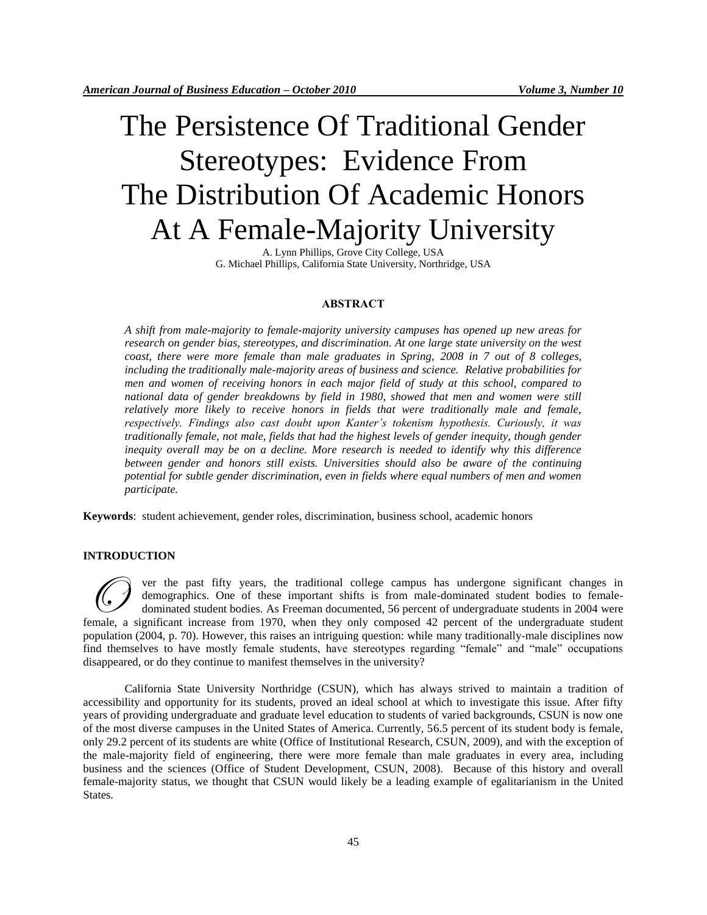# The Persistence Of Traditional Gender Stereotypes: Evidence From The Distribution Of Academic Honors At A Female-Majority University

A. Lynn Phillips, Grove City College, USA G. Michael Phillips, California State University, Northridge, USA

## **ABSTRACT**

*A shift from male-majority to female-majority university campuses has opened up new areas for research on gender bias, stereotypes, and discrimination. At one large state university on the west coast, there were more female than male graduates in Spring, 2008 in 7 out of 8 colleges, including the traditionally male-majority areas of business and science. Relative probabilities for men and women of receiving honors in each major field of study at this school, compared to national data of gender breakdowns by field in 1980, showed that men and women were still relatively more likely to receive honors in fields that were traditionally male and female, respectively. Findings also cast doubt upon Kanter's tokenism hypothesis. Curiously, it was traditionally female, not male, fields that had the highest levels of gender inequity, though gender inequity overall may be on a decline. More research is needed to identify why this difference between gender and honors still exists. Universities should also be aware of the continuing potential for subtle gender discrimination, even in fields where equal numbers of men and women participate.*

**Keywords**: student achievement, gender roles, discrimination, business school, academic honors

### **INTRODUCTION**

ver the past fifty years, the traditional college campus has undergone significant changes in demographics. One of these important shifts is from male-dominated student bodies to femaledominated student bodies. As Freeman documented, 56 percent of undergraduate students in 2004 were Female, a significant increase from 1970, when they only composed 42 percent of the undergraduate student student student podics. As Freeman documented, 56 percent of undergraduate students in 2004 were female, a significa population (2004, p. 70). However, this raises an intriguing question: while many traditionally-male disciplines now find themselves to have mostly female students, have stereotypes regarding "female" and "male" occupations disappeared, or do they continue to manifest themselves in the university?

California State University Northridge (CSUN), which has always strived to maintain a tradition of accessibility and opportunity for its students, proved an ideal school at which to investigate this issue. After fifty years of providing undergraduate and graduate level education to students of varied backgrounds, CSUN is now one of the most diverse campuses in the United States of America. Currently, 56.5 percent of its student body is female, only 29.2 percent of its students are white (Office of Institutional Research, CSUN, 2009), and with the exception of the male-majority field of engineering, there were more female than male graduates in every area, including business and the sciences (Office of Student Development, CSUN, 2008). Because of this history and overall female-majority status, we thought that CSUN would likely be a leading example of egalitarianism in the United States.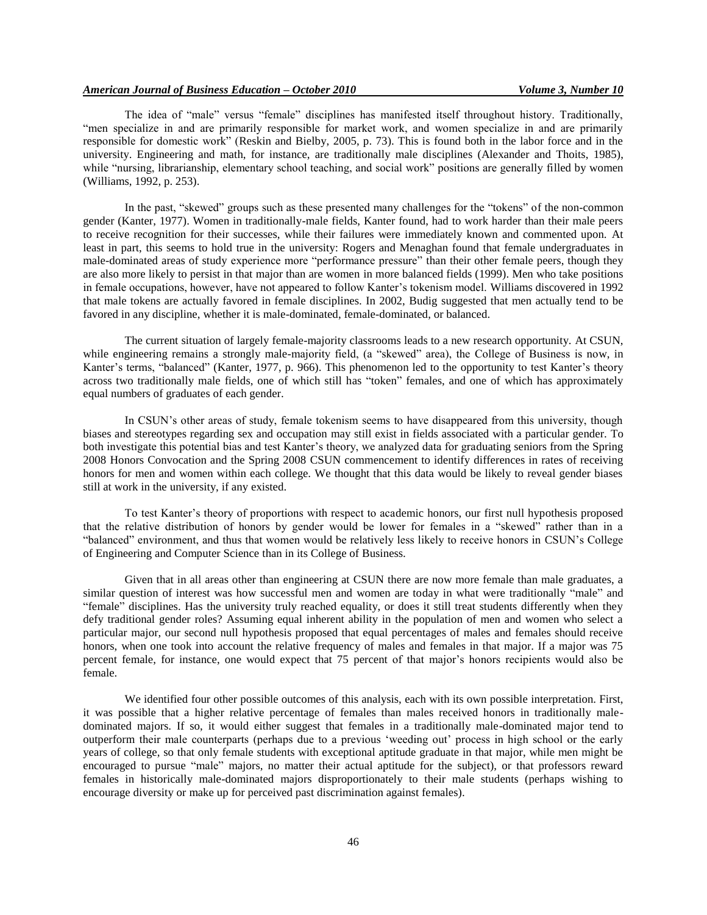The idea of "male" versus "female" disciplines has manifested itself throughout history. Traditionally, "men specialize in and are primarily responsible for market work, and women specialize in and are primarily responsible for domestic work" (Reskin and Bielby, 2005, p. 73). This is found both in the labor force and in the university. Engineering and math, for instance, are traditionally male disciplines (Alexander and Thoits, 1985), while "nursing, librarianship, elementary school teaching, and social work" positions are generally filled by women (Williams, 1992, p. 253).

In the past, "skewed" groups such as these presented many challenges for the "tokens" of the non-common gender (Kanter, 1977). Women in traditionally-male fields, Kanter found, had to work harder than their male peers to receive recognition for their successes, while their failures were immediately known and commented upon. At least in part, this seems to hold true in the university: Rogers and Menaghan found that female undergraduates in male-dominated areas of study experience more "performance pressure" than their other female peers, though they are also more likely to persist in that major than are women in more balanced fields (1999). Men who take positions in female occupations, however, have not appeared to follow Kanter"s tokenism model. Williams discovered in 1992 that male tokens are actually favored in female disciplines. In 2002, Budig suggested that men actually tend to be favored in any discipline, whether it is male-dominated, female-dominated, or balanced.

The current situation of largely female-majority classrooms leads to a new research opportunity. At CSUN, while engineering remains a strongly male-majority field, (a "skewed" area), the College of Business is now, in Kanter's terms, "balanced" (Kanter, 1977, p. 966). This phenomenon led to the opportunity to test Kanter's theory across two traditionally male fields, one of which still has "token" females, and one of which has approximately equal numbers of graduates of each gender.

In CSUN"s other areas of study, female tokenism seems to have disappeared from this university, though biases and stereotypes regarding sex and occupation may still exist in fields associated with a particular gender. To both investigate this potential bias and test Kanter"s theory, we analyzed data for graduating seniors from the Spring 2008 Honors Convocation and the Spring 2008 CSUN commencement to identify differences in rates of receiving honors for men and women within each college. We thought that this data would be likely to reveal gender biases still at work in the university, if any existed.

To test Kanter"s theory of proportions with respect to academic honors, our first null hypothesis proposed that the relative distribution of honors by gender would be lower for females in a "skewed" rather than in a "balanced" environment, and thus that women would be relatively less likely to receive honors in CSUN"s College of Engineering and Computer Science than in its College of Business.

Given that in all areas other than engineering at CSUN there are now more female than male graduates, a similar question of interest was how successful men and women are today in what were traditionally "male" and "female" disciplines. Has the university truly reached equality, or does it still treat students differently when they defy traditional gender roles? Assuming equal inherent ability in the population of men and women who select a particular major, our second null hypothesis proposed that equal percentages of males and females should receive honors, when one took into account the relative frequency of males and females in that major. If a major was 75 percent female, for instance, one would expect that 75 percent of that major"s honors recipients would also be female.

We identified four other possible outcomes of this analysis, each with its own possible interpretation. First, it was possible that a higher relative percentage of females than males received honors in traditionally maledominated majors. If so, it would either suggest that females in a traditionally male-dominated major tend to outperform their male counterparts (perhaps due to a previous "weeding out" process in high school or the early years of college, so that only female students with exceptional aptitude graduate in that major, while men might be encouraged to pursue "male" majors, no matter their actual aptitude for the subject), or that professors reward females in historically male-dominated majors disproportionately to their male students (perhaps wishing to encourage diversity or make up for perceived past discrimination against females).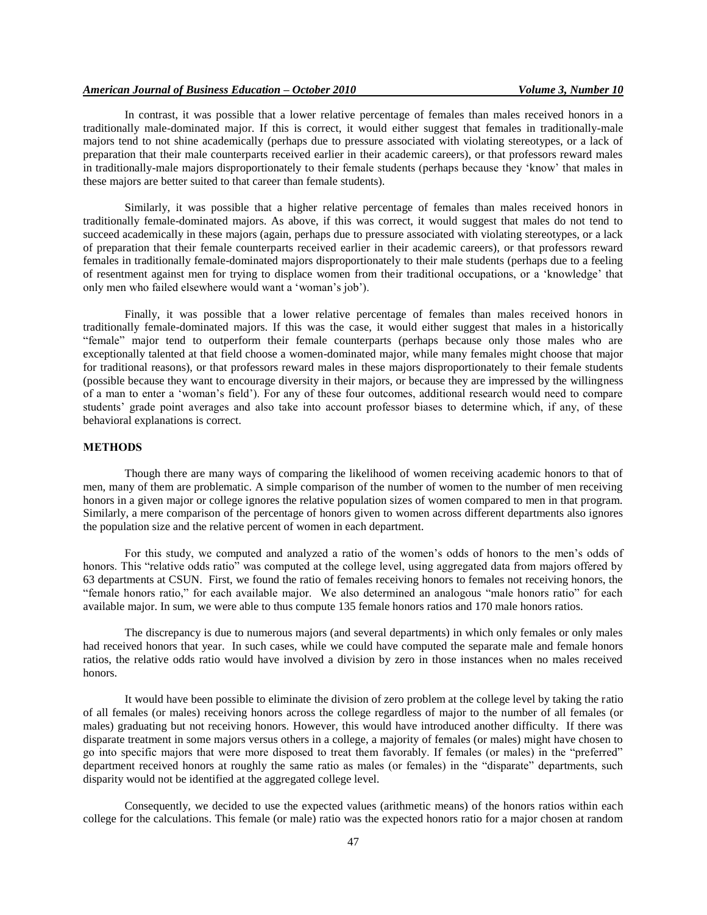## *American Journal of Business Education – October 2010 Volume 3, Number 10*

In contrast, it was possible that a lower relative percentage of females than males received honors in a traditionally male-dominated major. If this is correct, it would either suggest that females in traditionally-male majors tend to not shine academically (perhaps due to pressure associated with violating stereotypes, or a lack of preparation that their male counterparts received earlier in their academic careers), or that professors reward males in traditionally-male majors disproportionately to their female students (perhaps because they "know" that males in these majors are better suited to that career than female students).

Similarly, it was possible that a higher relative percentage of females than males received honors in traditionally female-dominated majors. As above, if this was correct, it would suggest that males do not tend to succeed academically in these majors (again, perhaps due to pressure associated with violating stereotypes, or a lack of preparation that their female counterparts received earlier in their academic careers), or that professors reward females in traditionally female-dominated majors disproportionately to their male students (perhaps due to a feeling of resentment against men for trying to displace women from their traditional occupations, or a "knowledge" that only men who failed elsewhere would want a "woman"s job").

Finally, it was possible that a lower relative percentage of females than males received honors in traditionally female-dominated majors. If this was the case, it would either suggest that males in a historically "female" major tend to outperform their female counterparts (perhaps because only those males who are exceptionally talented at that field choose a women-dominated major, while many females might choose that major for traditional reasons), or that professors reward males in these majors disproportionately to their female students (possible because they want to encourage diversity in their majors, or because they are impressed by the willingness of a man to enter a "woman"s field"). For any of these four outcomes, additional research would need to compare students' grade point averages and also take into account professor biases to determine which, if any, of these behavioral explanations is correct.

#### **METHODS**

Though there are many ways of comparing the likelihood of women receiving academic honors to that of men, many of them are problematic. A simple comparison of the number of women to the number of men receiving honors in a given major or college ignores the relative population sizes of women compared to men in that program. Similarly, a mere comparison of the percentage of honors given to women across different departments also ignores the population size and the relative percent of women in each department.

For this study, we computed and analyzed a ratio of the women"s odds of honors to the men"s odds of honors. This "relative odds ratio" was computed at the college level, using aggregated data from majors offered by 63 departments at CSUN. First, we found the ratio of females receiving honors to females not receiving honors, the "female honors ratio," for each available major. We also determined an analogous "male honors ratio" for each available major. In sum, we were able to thus compute 135 female honors ratios and 170 male honors ratios.

The discrepancy is due to numerous majors (and several departments) in which only females or only males had received honors that year. In such cases, while we could have computed the separate male and female honors ratios, the relative odds ratio would have involved a division by zero in those instances when no males received honors.

It would have been possible to eliminate the division of zero problem at the college level by taking the ratio of all females (or males) receiving honors across the college regardless of major to the number of all females (or males) graduating but not receiving honors. However, this would have introduced another difficulty. If there was disparate treatment in some majors versus others in a college, a majority of females (or males) might have chosen to go into specific majors that were more disposed to treat them favorably. If females (or males) in the "preferred" department received honors at roughly the same ratio as males (or females) in the "disparate" departments, such disparity would not be identified at the aggregated college level.

Consequently, we decided to use the expected values (arithmetic means) of the honors ratios within each college for the calculations. This female (or male) ratio was the expected honors ratio for a major chosen at random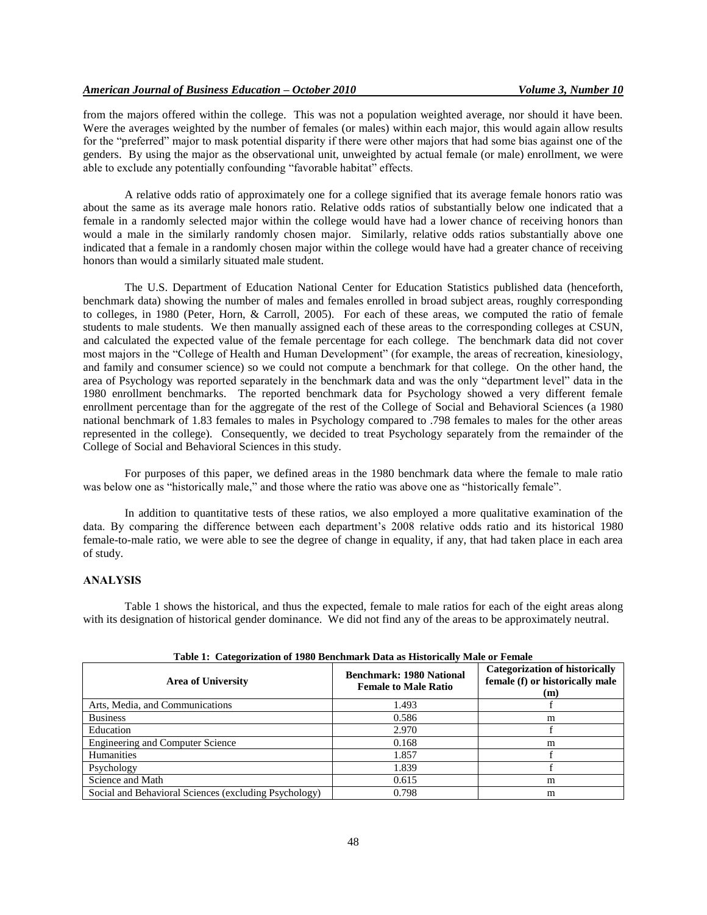from the majors offered within the college. This was not a population weighted average, nor should it have been. Were the averages weighted by the number of females (or males) within each major, this would again allow results for the "preferred" major to mask potential disparity if there were other majors that had some bias against one of the genders. By using the major as the observational unit, unweighted by actual female (or male) enrollment, we were able to exclude any potentially confounding "favorable habitat" effects.

A relative odds ratio of approximately one for a college signified that its average female honors ratio was about the same as its average male honors ratio. Relative odds ratios of substantially below one indicated that a female in a randomly selected major within the college would have had a lower chance of receiving honors than would a male in the similarly randomly chosen major. Similarly, relative odds ratios substantially above one indicated that a female in a randomly chosen major within the college would have had a greater chance of receiving honors than would a similarly situated male student.

The U.S. Department of Education National Center for Education Statistics published data (henceforth, benchmark data) showing the number of males and females enrolled in broad subject areas, roughly corresponding to colleges, in 1980 (Peter, Horn, & Carroll, 2005). For each of these areas, we computed the ratio of female students to male students. We then manually assigned each of these areas to the corresponding colleges at CSUN, and calculated the expected value of the female percentage for each college. The benchmark data did not cover most majors in the "College of Health and Human Development" (for example, the areas of recreation, kinesiology, and family and consumer science) so we could not compute a benchmark for that college. On the other hand, the area of Psychology was reported separately in the benchmark data and was the only "department level" data in the 1980 enrollment benchmarks. The reported benchmark data for Psychology showed a very different female enrollment percentage than for the aggregate of the rest of the College of Social and Behavioral Sciences (a 1980 national benchmark of 1.83 females to males in Psychology compared to .798 females to males for the other areas represented in the college). Consequently, we decided to treat Psychology separately from the remainder of the College of Social and Behavioral Sciences in this study.

For purposes of this paper, we defined areas in the 1980 benchmark data where the female to male ratio was below one as "historically male," and those where the ratio was above one as "historically female".

In addition to quantitative tests of these ratios, we also employed a more qualitative examination of the data. By comparing the difference between each department's 2008 relative odds ratio and its historical 1980 female-to-male ratio, we were able to see the degree of change in equality, if any, that had taken place in each area of study.

## **ANALYSIS**

Table 1 shows the historical, and thus the expected, female to male ratios for each of the eight areas along with its designation of historical gender dominance. We did not find any of the areas to be approximately neutral.

| <b>Area of University</b>                             | <b>Benchmark: 1980 National</b><br><b>Female to Male Ratio</b> | <b>Categorization of historically</b><br>female (f) or historically male<br>(m) |
|-------------------------------------------------------|----------------------------------------------------------------|---------------------------------------------------------------------------------|
| Arts, Media, and Communications                       | 1.493                                                          |                                                                                 |
| <b>Business</b>                                       | 0.586                                                          | m                                                                               |
| Education                                             | 2.970                                                          |                                                                                 |
| <b>Engineering and Computer Science</b>               | 0.168                                                          | m                                                                               |
| Humanities                                            | 1.857                                                          |                                                                                 |
| Psychology                                            | 1.839                                                          |                                                                                 |
| Science and Math                                      | 0.615                                                          | m                                                                               |
| Social and Behavioral Sciences (excluding Psychology) | 0.798                                                          | m                                                                               |

#### **Table 1: Categorization of 1980 Benchmark Data as Historically Male or Female**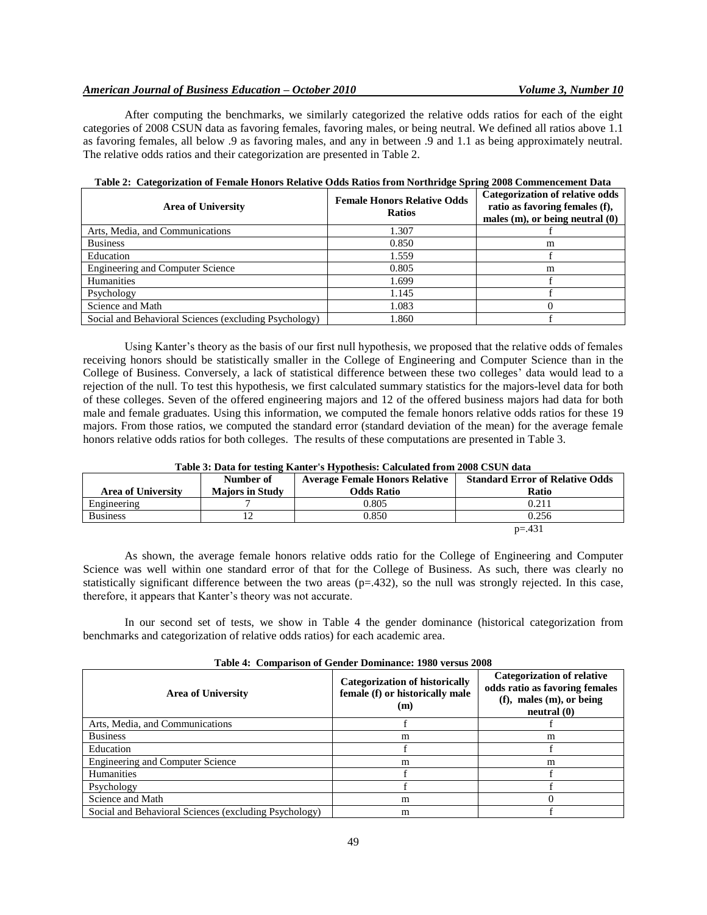## *American Journal of Business Education – October 2010 Volume 3, Number 10*

After computing the benchmarks, we similarly categorized the relative odds ratios for each of the eight categories of 2008 CSUN data as favoring females, favoring males, or being neutral. We defined all ratios above 1.1 as favoring females, all below .9 as favoring males, and any in between .9 and 1.1 as being approximately neutral. The relative odds ratios and their categorization are presented in Table 2.

| <b>Area of University</b>                             | <b>Female Honors Relative Odds</b><br><b>Ratios</b> | <b>Categorization of relative odds</b><br>ratio as favoring females (f),<br>males $(m)$ , or being neutral $(0)$ |  |
|-------------------------------------------------------|-----------------------------------------------------|------------------------------------------------------------------------------------------------------------------|--|
| Arts, Media, and Communications                       | 1.307                                               |                                                                                                                  |  |
| <b>Business</b>                                       | 0.850                                               | m                                                                                                                |  |
| Education                                             | 1.559                                               |                                                                                                                  |  |
| Engineering and Computer Science                      | 0.805                                               | m                                                                                                                |  |
| Humanities                                            | 1.699                                               |                                                                                                                  |  |
| Psychology                                            | 1.145                                               |                                                                                                                  |  |
| Science and Math                                      | 1.083                                               |                                                                                                                  |  |
| Social and Behavioral Sciences (excluding Psychology) | 1.860                                               |                                                                                                                  |  |

|  |  |  | Table 2: Categorization of Female Honors Relative Odds Ratios from Northridge Spring 2008 Commencement Data |
|--|--|--|-------------------------------------------------------------------------------------------------------------|
|  |  |  |                                                                                                             |

Using Kanter"s theory as the basis of our first null hypothesis, we proposed that the relative odds of females receiving honors should be statistically smaller in the College of Engineering and Computer Science than in the College of Business. Conversely, a lack of statistical difference between these two colleges" data would lead to a rejection of the null. To test this hypothesis, we first calculated summary statistics for the majors-level data for both of these colleges. Seven of the offered engineering majors and 12 of the offered business majors had data for both male and female graduates. Using this information, we computed the female honors relative odds ratios for these 19 majors. From those ratios, we computed the standard error (standard deviation of the mean) for the average female honors relative odds ratios for both colleges. The results of these computations are presented in Table 3.

| Table 5. Data for testing ixanter s rrypothesis. Calculated from 2000 CSOR data              |                        |                   |              |  |  |  |
|----------------------------------------------------------------------------------------------|------------------------|-------------------|--------------|--|--|--|
| <b>Standard Error of Relative Odds</b><br><b>Average Female Honors Relative</b><br>Number of |                        |                   |              |  |  |  |
| <b>Area of University</b>                                                                    | <b>Majors in Study</b> | <b>Odds Ratio</b> | <b>Ratio</b> |  |  |  |
| Engineering                                                                                  |                        | 0.805             | 0.211        |  |  |  |
| <b>Business</b>                                                                              |                        | 0.850             | 0.256        |  |  |  |
|                                                                                              |                        |                   | $p = 431$    |  |  |  |

#### **Table 3: Data for testing Kanter's Hypothesis: Calculated from 2008 CSUN data**

As shown, the average female honors relative odds ratio for the College of Engineering and Computer Science was well within one standard error of that for the College of Business. As such, there was clearly no statistically significant difference between the two areas  $(p=.432)$ , so the null was strongly rejected. In this case, therefore, it appears that Kanter's theory was not accurate.

In our second set of tests, we show in Table 4 the gender dominance (historical categorization from benchmarks and categorization of relative odds ratios) for each academic area.

| <b>Area of University</b>                             | <b>Categorization of historically</b><br>female (f) or historically male<br>(m) | <b>Categorization of relative</b><br>odds ratio as favoring females<br>$(f)$ , males $(m)$ , or being<br>neutral <sub>(0)</sub> |
|-------------------------------------------------------|---------------------------------------------------------------------------------|---------------------------------------------------------------------------------------------------------------------------------|
| Arts, Media, and Communications                       |                                                                                 |                                                                                                                                 |
| <b>Business</b>                                       | m                                                                               | m                                                                                                                               |
| Education                                             |                                                                                 |                                                                                                                                 |
| <b>Engineering and Computer Science</b>               | m                                                                               | m                                                                                                                               |
| Humanities                                            |                                                                                 |                                                                                                                                 |
| Psychology                                            |                                                                                 |                                                                                                                                 |
| Science and Math                                      | m                                                                               |                                                                                                                                 |
| Social and Behavioral Sciences (excluding Psychology) | m                                                                               |                                                                                                                                 |

#### **Table 4: Comparison of Gender Dominance: 1980 versus 2008**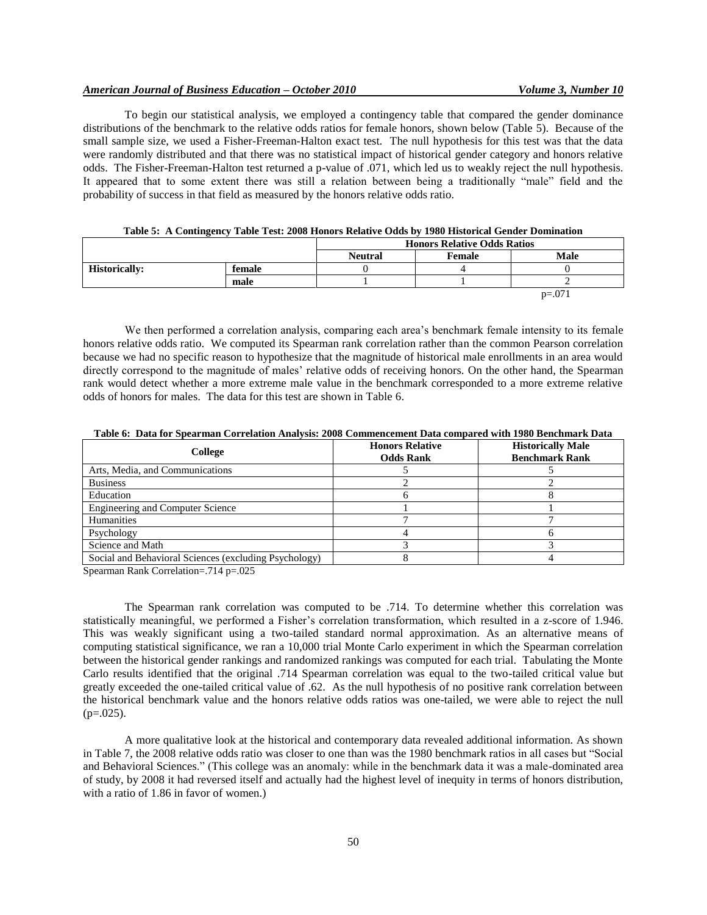## *American Journal of Business Education – October 2010 Volume 3, Number 10*

To begin our statistical analysis, we employed a contingency table that compared the gender dominance distributions of the benchmark to the relative odds ratios for female honors, shown below (Table 5). Because of the small sample size, we used a Fisher-Freeman-Halton exact test. The null hypothesis for this test was that the data were randomly distributed and that there was no statistical impact of historical gender category and honors relative odds. The Fisher-Freeman-Halton test returned a p-value of .071, which led us to weakly reject the null hypothesis. It appeared that to some extent there was still a relation between being a traditionally "male" field and the probability of success in that field as measured by the honors relative odds ratio.

|                                |      |                | <b>Honors Relative Odds Ratios</b> |         |  |
|--------------------------------|------|----------------|------------------------------------|---------|--|
|                                |      | <b>Neutral</b> | Male<br>Female                     |         |  |
| <b>Historically:</b><br>female |      |                |                                    |         |  |
|                                | male |                |                                    |         |  |
|                                |      |                |                                    | $p=.07$ |  |

|  |  |  |  | Table 5: A Contingency Table Test: 2008 Honors Relative Odds by 1980 Historical Gender Domination |  |  |  |  |
|--|--|--|--|---------------------------------------------------------------------------------------------------|--|--|--|--|
|--|--|--|--|---------------------------------------------------------------------------------------------------|--|--|--|--|

We then performed a correlation analysis, comparing each area"s benchmark female intensity to its female honors relative odds ratio. We computed its Spearman rank correlation rather than the common Pearson correlation because we had no specific reason to hypothesize that the magnitude of historical male enrollments in an area would directly correspond to the magnitude of males' relative odds of receiving honors. On the other hand, the Spearman rank would detect whether a more extreme male value in the benchmark corresponded to a more extreme relative odds of honors for males. The data for this test are shown in Table 6.

**Table 6: Data for Spearman Correlation Analysis: 2008 Commencement Data compared with 1980 Benchmark Data**

| College                                               | <b>Honors Relative</b><br><b>Odds Rank</b> | <b>Historically Male</b><br><b>Benchmark Rank</b> |
|-------------------------------------------------------|--------------------------------------------|---------------------------------------------------|
| Arts, Media, and Communications                       |                                            |                                                   |
| <b>Business</b>                                       |                                            |                                                   |
| Education                                             |                                            |                                                   |
| <b>Engineering and Computer Science</b>               |                                            |                                                   |
| Humanities                                            |                                            |                                                   |
| Psychology                                            |                                            |                                                   |
| Science and Math                                      |                                            |                                                   |
| Social and Behavioral Sciences (excluding Psychology) |                                            |                                                   |

Spearman Rank Correlation=.714 p=.025

The Spearman rank correlation was computed to be .714. To determine whether this correlation was statistically meaningful, we performed a Fisher"s correlation transformation, which resulted in a z-score of 1.946. This was weakly significant using a two-tailed standard normal approximation. As an alternative means of computing statistical significance, we ran a 10,000 trial Monte Carlo experiment in which the Spearman correlation between the historical gender rankings and randomized rankings was computed for each trial. Tabulating the Monte Carlo results identified that the original .714 Spearman correlation was equal to the two-tailed critical value but greatly exceeded the one-tailed critical value of .62. As the null hypothesis of no positive rank correlation between the historical benchmark value and the honors relative odds ratios was one-tailed, we were able to reject the null  $(p=.025)$ .

A more qualitative look at the historical and contemporary data revealed additional information. As shown in Table 7, the 2008 relative odds ratio was closer to one than was the 1980 benchmark ratios in all cases but "Social and Behavioral Sciences." (This college was an anomaly: while in the benchmark data it was a male-dominated area of study, by 2008 it had reversed itself and actually had the highest level of inequity in terms of honors distribution, with a ratio of 1.86 in favor of women.)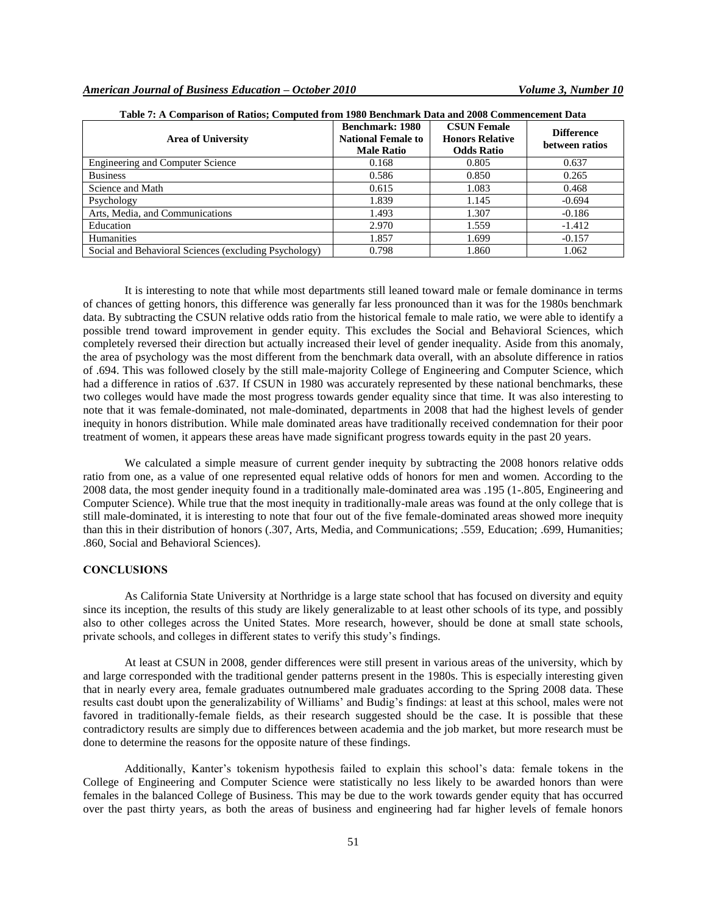| <b>Area of University</b>                             | <b>Benchmark: 1980</b><br><b>National Female to</b><br><b>Male Ratio</b> | <b>CSUN Female</b><br><b>Honors Relative</b><br><b>Odds Ratio</b> | <b>Difference</b><br>between ratios |
|-------------------------------------------------------|--------------------------------------------------------------------------|-------------------------------------------------------------------|-------------------------------------|
| <b>Engineering and Computer Science</b>               | 0.168                                                                    | 0.805                                                             | 0.637                               |
| <b>Business</b>                                       | 0.586                                                                    | 0.850                                                             | 0.265                               |
| Science and Math                                      | 0.615                                                                    | 1.083                                                             | 0.468                               |
| Psychology                                            | 1.839                                                                    | 1.145                                                             | $-0.694$                            |
| Arts, Media, and Communications                       | 1.493                                                                    | 1.307                                                             | $-0.186$                            |
| Education                                             | 2.970                                                                    | 1.559                                                             | $-1.412$                            |
| <b>Humanities</b>                                     | 1.857                                                                    | 1.699                                                             | $-0.157$                            |
| Social and Behavioral Sciences (excluding Psychology) | 0.798                                                                    | 1.860                                                             | 1.062                               |

### **Table 7: A Comparison of Ratios; Computed from 1980 Benchmark Data and 2008 Commencement Data**

It is interesting to note that while most departments still leaned toward male or female dominance in terms of chances of getting honors, this difference was generally far less pronounced than it was for the 1980s benchmark data. By subtracting the CSUN relative odds ratio from the historical female to male ratio, we were able to identify a possible trend toward improvement in gender equity. This excludes the Social and Behavioral Sciences, which completely reversed their direction but actually increased their level of gender inequality. Aside from this anomaly, the area of psychology was the most different from the benchmark data overall, with an absolute difference in ratios of .694. This was followed closely by the still male-majority College of Engineering and Computer Science, which had a difference in ratios of .637. If CSUN in 1980 was accurately represented by these national benchmarks, these two colleges would have made the most progress towards gender equality since that time. It was also interesting to note that it was female-dominated, not male-dominated, departments in 2008 that had the highest levels of gender inequity in honors distribution. While male dominated areas have traditionally received condemnation for their poor treatment of women, it appears these areas have made significant progress towards equity in the past 20 years.

We calculated a simple measure of current gender inequity by subtracting the 2008 honors relative odds ratio from one, as a value of one represented equal relative odds of honors for men and women. According to the 2008 data, the most gender inequity found in a traditionally male-dominated area was .195 (1-.805, Engineering and Computer Science). While true that the most inequity in traditionally-male areas was found at the only college that is still male-dominated, it is interesting to note that four out of the five female-dominated areas showed more inequity than this in their distribution of honors (.307, Arts, Media, and Communications; .559, Education; .699, Humanities; .860, Social and Behavioral Sciences).

#### **CONCLUSIONS**

As California State University at Northridge is a large state school that has focused on diversity and equity since its inception, the results of this study are likely generalizable to at least other schools of its type, and possibly also to other colleges across the United States. More research, however, should be done at small state schools, private schools, and colleges in different states to verify this study"s findings.

At least at CSUN in 2008, gender differences were still present in various areas of the university, which by and large corresponded with the traditional gender patterns present in the 1980s. This is especially interesting given that in nearly every area, female graduates outnumbered male graduates according to the Spring 2008 data. These results cast doubt upon the generalizability of Williams" and Budig"s findings: at least at this school, males were not favored in traditionally-female fields, as their research suggested should be the case. It is possible that these contradictory results are simply due to differences between academia and the job market, but more research must be done to determine the reasons for the opposite nature of these findings.

Additionally, Kanter's tokenism hypothesis failed to explain this school's data: female tokens in the College of Engineering and Computer Science were statistically no less likely to be awarded honors than were females in the balanced College of Business. This may be due to the work towards gender equity that has occurred over the past thirty years, as both the areas of business and engineering had far higher levels of female honors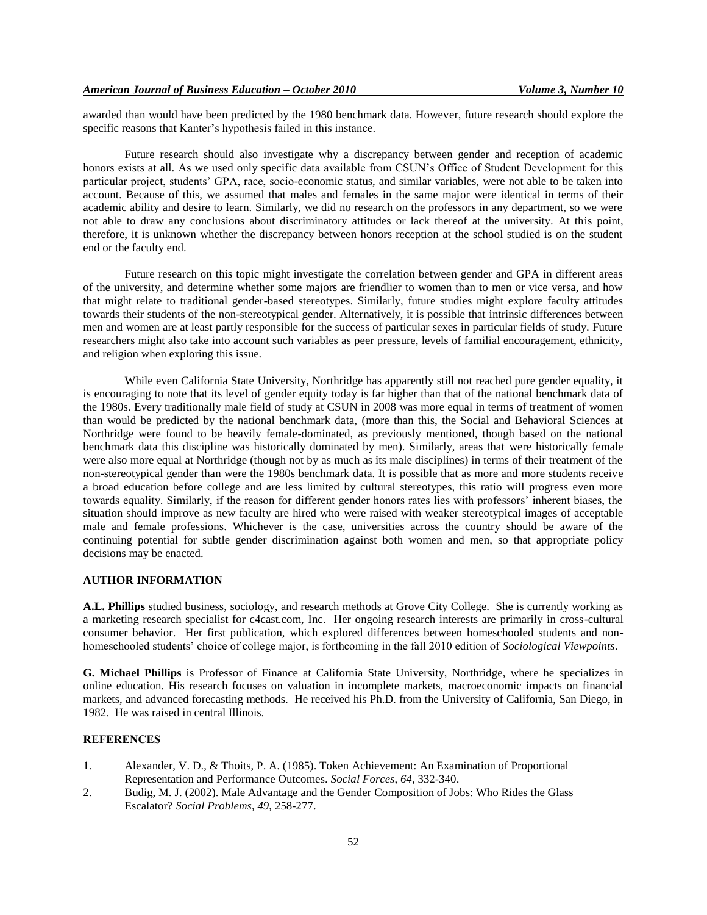awarded than would have been predicted by the 1980 benchmark data. However, future research should explore the specific reasons that Kanter"s hypothesis failed in this instance.

Future research should also investigate why a discrepancy between gender and reception of academic honors exists at all. As we used only specific data available from CSUN's Office of Student Development for this particular project, students" GPA, race, socio-economic status, and similar variables, were not able to be taken into account. Because of this, we assumed that males and females in the same major were identical in terms of their academic ability and desire to learn. Similarly, we did no research on the professors in any department, so we were not able to draw any conclusions about discriminatory attitudes or lack thereof at the university. At this point, therefore, it is unknown whether the discrepancy between honors reception at the school studied is on the student end or the faculty end.

Future research on this topic might investigate the correlation between gender and GPA in different areas of the university, and determine whether some majors are friendlier to women than to men or vice versa, and how that might relate to traditional gender-based stereotypes. Similarly, future studies might explore faculty attitudes towards their students of the non-stereotypical gender. Alternatively, it is possible that intrinsic differences between men and women are at least partly responsible for the success of particular sexes in particular fields of study. Future researchers might also take into account such variables as peer pressure, levels of familial encouragement, ethnicity, and religion when exploring this issue.

While even California State University, Northridge has apparently still not reached pure gender equality, it is encouraging to note that its level of gender equity today is far higher than that of the national benchmark data of the 1980s. Every traditionally male field of study at CSUN in 2008 was more equal in terms of treatment of women than would be predicted by the national benchmark data, (more than this, the Social and Behavioral Sciences at Northridge were found to be heavily female-dominated, as previously mentioned, though based on the national benchmark data this discipline was historically dominated by men). Similarly, areas that were historically female were also more equal at Northridge (though not by as much as its male disciplines) in terms of their treatment of the non-stereotypical gender than were the 1980s benchmark data. It is possible that as more and more students receive a broad education before college and are less limited by cultural stereotypes, this ratio will progress even more towards equality. Similarly, if the reason for different gender honors rates lies with professors" inherent biases, the situation should improve as new faculty are hired who were raised with weaker stereotypical images of acceptable male and female professions. Whichever is the case, universities across the country should be aware of the continuing potential for subtle gender discrimination against both women and men, so that appropriate policy decisions may be enacted.

## **AUTHOR INFORMATION**

**A.L. Phillips** studied business, sociology, and research methods at Grove City College. She is currently working as a marketing research specialist for c4cast.com, Inc. Her ongoing research interests are primarily in cross-cultural consumer behavior. Her first publication, which explored differences between homeschooled students and nonhomeschooled students" choice of college major, is forthcoming in the fall 2010 edition of *Sociological Viewpoints*.

**G. Michael Phillips** is Professor of Finance at California State University, Northridge, where he specializes in online education. His research focuses on valuation in incomplete markets, macroeconomic impacts on financial markets, and advanced forecasting methods. He received his Ph.D. from the University of California, San Diego, in 1982. He was raised in central Illinois.

## **REFERENCES**

- 1. Alexander, V. D., & Thoits, P. A. (1985). Token Achievement: An Examination of Proportional Representation and Performance Outcomes. *Social Forces*, *64*, 332-340.
- 2. Budig, M. J. (2002). Male Advantage and the Gender Composition of Jobs: Who Rides the Glass Escalator? *Social Problems*, *49*, 258-277.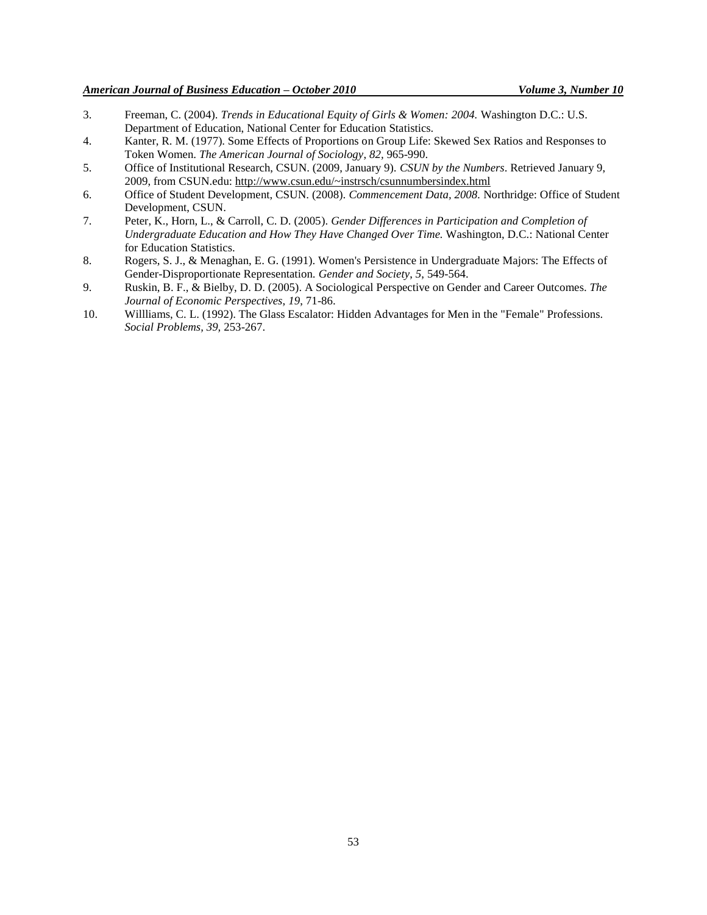- 3. Freeman, C. (2004). *Trends in Educational Equity of Girls & Women: 2004.* Washington D.C.: U.S. Department of Education, National Center for Education Statistics.
- 4. Kanter, R. M. (1977). Some Effects of Proportions on Group Life: Skewed Sex Ratios and Responses to Token Women. *The American Journal of Sociology*, *82,* 965-990.
- 5. Office of Institutional Research, CSUN. (2009, January 9). *CSUN by the Numbers*. Retrieved January 9, 2009, from CSUN.edu: http://www.csun.edu/~instrsch/csunnumbersindex.html
- 6. Office of Student Development, CSUN. (2008). *Commencement Data, 2008.* Northridge: Office of Student Development, CSUN.
- 7. Peter, K., Horn, L., & Carroll, C. D. (2005). *Gender Differences in Participation and Completion of Undergraduate Education and How They Have Changed Over Time.* Washington, D.C.: National Center for Education Statistics.
- 8. Rogers, S. J., & Menaghan, E. G. (1991). Women's Persistence in Undergraduate Majors: The Effects of Gender-Disproportionate Representation. *Gender and Society*, *5*, 549-564.
- 9. Ruskin, B. F., & Bielby, D. D. (2005). A Sociological Perspective on Gender and Career Outcomes. *The Journal of Economic Perspectives*, *19*, 71-86.
- 10. Willliams, C. L. (1992). The Glass Escalator: Hidden Advantages for Men in the "Female" Professions. *Social Problems, 39,* 253-267.